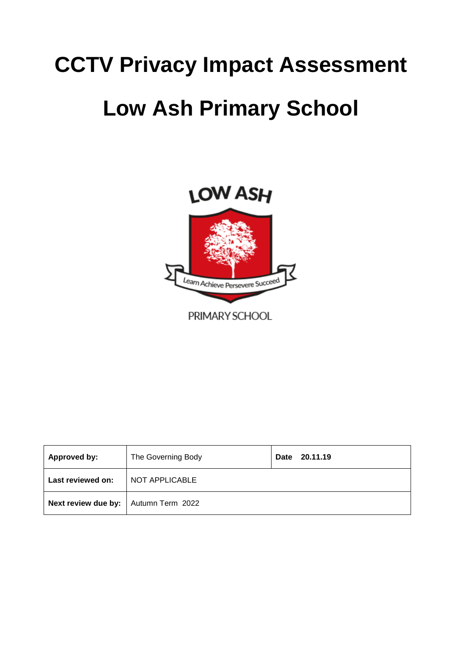# **CCTV Privacy Impact Assessment**

# **Low Ash Primary School**



| Approved by:        | The Governing Body | 20.11.19<br><b>Date</b> |
|---------------------|--------------------|-------------------------|
| Last reviewed on:   | NOT APPLICABLE     |                         |
| Next review due by: | Autumn Term 2022   |                         |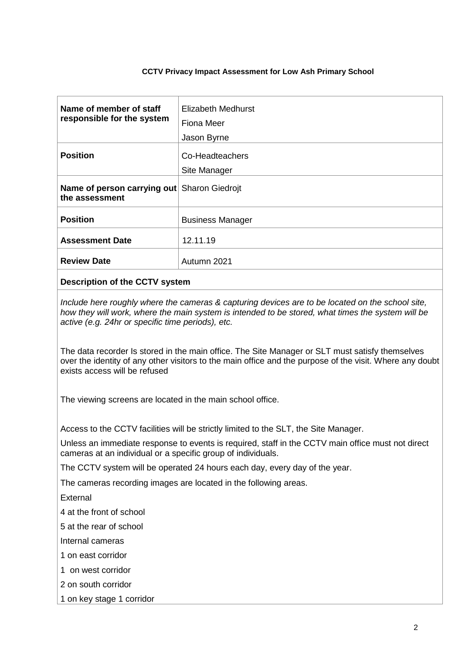### **CCTV Privacy Impact Assessment for Low Ash Primary School**

| Name of member of staff<br>responsible for the system         | Elizabeth Medhurst<br>Fiona Meer<br>Jason Byrne |
|---------------------------------------------------------------|-------------------------------------------------|
| <b>Position</b>                                               | Co-Headteachers<br>Site Manager                 |
| Name of person carrying out Sharon Giedrojt<br>the assessment |                                                 |
| <b>Position</b>                                               | <b>Business Manager</b>                         |
| <b>Assessment Date</b>                                        | 12.11.19                                        |
| <b>Review Date</b>                                            | Autumn 2021                                     |

## **Description of the CCTV system**

*Include here roughly where the cameras & capturing devices are to be located on the school site, how they will work, where the main system is intended to be stored, what times the system will be active (e.g. 24hr or specific time periods), etc.*

The data recorder Is stored in the main office. The Site Manager or SLT must satisfy themselves over the identity of any other visitors to the main office and the purpose of the visit. Where any doubt exists access will be refused

The viewing screens are located in the main school office.

Access to the CCTV facilities will be strictly limited to the SLT, the Site Manager.

Unless an immediate response to events is required, staff in the CCTV main office must not direct cameras at an individual or a specific group of individuals.

The CCTV system will be operated 24 hours each day, every day of the year.

The cameras recording images are located in the following areas.

External

4 at the front of school

5 at the rear of school

Internal cameras

1 on east corridor

- 1 on west corridor
- 2 on south corridor
- 1 on key stage 1 corridor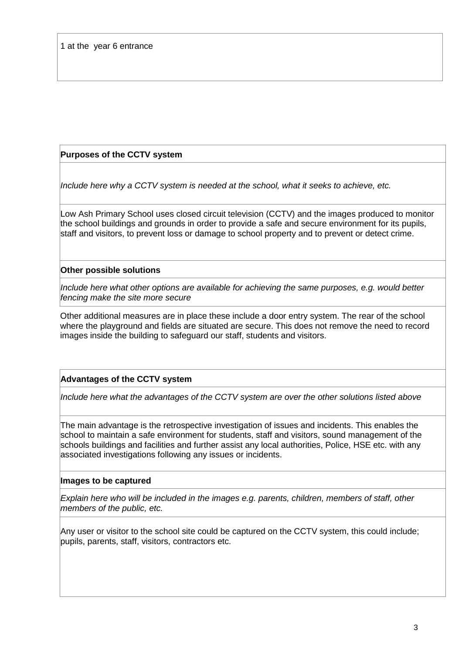# **Purposes of the CCTV system**

*Include here why a CCTV system is needed at the school, what it seeks to achieve, etc.*

Low Ash Primary School uses closed circuit television (CCTV) and the images produced to monitor the school buildings and grounds in order to provide a safe and secure environment for its pupils, staff and visitors, to prevent loss or damage to school property and to prevent or detect crime.

## **Other possible solutions**

*Include here what other options are available for achieving the same purposes, e.g. would better fencing make the site more secure*

Other additional measures are in place these include a door entry system. The rear of the school where the playground and fields are situated are secure. This does not remove the need to record images inside the building to safeguard our staff, students and visitors.

# **Advantages of the CCTV system**

*Include here what the advantages of the CCTV system are over the other solutions listed above*

The main advantage is the retrospective investigation of issues and incidents. This enables the school to maintain a safe environment for students, staff and visitors, sound management of the schools buildings and facilities and further assist any local authorities, Police, HSE etc. with any associated investigations following any issues or incidents.

## **Images to be captured**

*Explain here who will be included in the images e.g. parents, children, members of staff, other members of the public, etc.*

Any user or visitor to the school site could be captured on the CCTV system, this could include; pupils, parents, staff, visitors, contractors etc.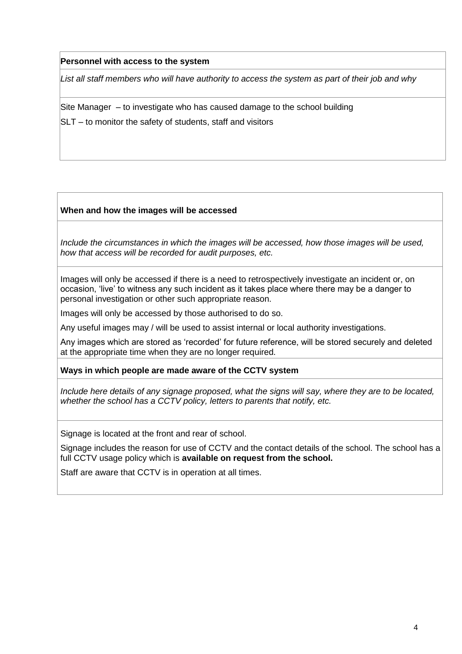## **Personnel with access to the system**

*List all staff members who will have authority to access the system as part of their job and why*

Site Manager – to investigate who has caused damage to the school building

SLT – to monitor the safety of students, staff and visitors

## **When and how the images will be accessed**

*Include the circumstances in which the images will be accessed, how those images will be used, how that access will be recorded for audit purposes, etc.*

Images will only be accessed if there is a need to retrospectively investigate an incident or, on occasion, 'live' to witness any such incident as it takes place where there may be a danger to personal investigation or other such appropriate reason.

Images will only be accessed by those authorised to do so.

Any useful images may / will be used to assist internal or local authority investigations.

Any images which are stored as 'recorded' for future reference, will be stored securely and deleted at the appropriate time when they are no longer required.

**Ways in which people are made aware of the CCTV system**

*Include here details of any signage proposed, what the signs will say, where they are to be located, whether the school has a CCTV policy, letters to parents that notify, etc.*

Signage is located at the front and rear of school.

Signage includes the reason for use of CCTV and the contact details of the school. The school has a full CCTV usage policy which is **available on request from the school.**

Staff are aware that CCTV is in operation at all times.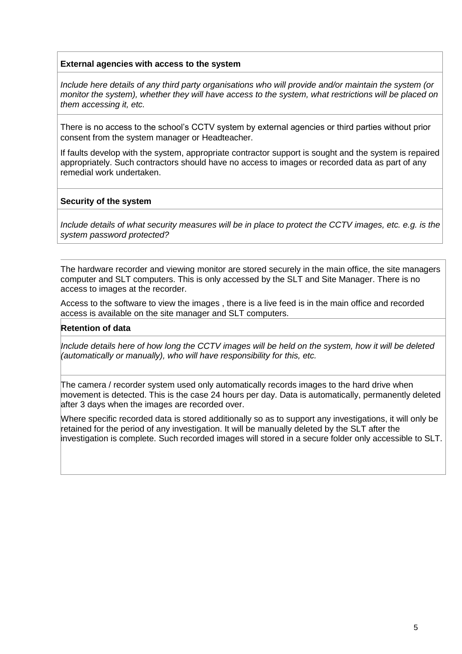## **External agencies with access to the system**

*Include here details of any third party organisations who will provide and/or maintain the system (or monitor the system), whether they will have access to the system, what restrictions will be placed on them accessing it, etc.*

There is no access to the school's CCTV system by external agencies or third parties without prior consent from the system manager or Headteacher.

If faults develop with the system, appropriate contractor support is sought and the system is repaired appropriately. Such contractors should have no access to images or recorded data as part of any remedial work undertaken.

## **Security of the system**

*Include details of what security measures will be in place to protect the CCTV images, etc. e.g. is the system password protected?*

The hardware recorder and viewing monitor are stored securely in the main office, the site managers computer and SLT computers. This is only accessed by the SLT and Site Manager. There is no access to images at the recorder.

Access to the software to view the images , there is a live feed is in the main office and recorded access is available on the site manager and SLT computers.

### **Retention of data**

*Include details here of how long the CCTV images will be held on the system, how it will be deleted (automatically or manually), who will have responsibility for this, etc.*

The camera / recorder system used only automatically records images to the hard drive when movement is detected. This is the case 24 hours per day. Data is automatically, permanently deleted after 3 days when the images are recorded over.

Where specific recorded data is stored additionally so as to support any investigations, it will only be retained for the period of any investigation. It will be manually deleted by the SLT after the investigation is complete. Such recorded images will stored in a secure folder only accessible to SLT.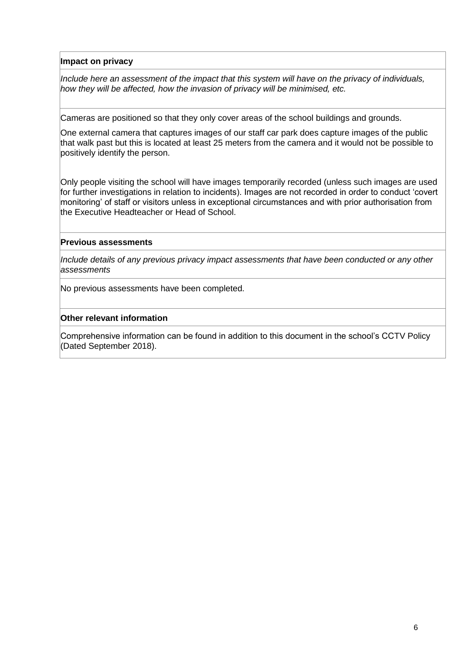**Impact on privacy**

*Include here an assessment of the impact that this system will have on the privacy of individuals, how they will be affected, how the invasion of privacy will be minimised, etc.*

Cameras are positioned so that they only cover areas of the school buildings and grounds.

One external camera that captures images of our staff car park does capture images of the public that walk past but this is located at least 25 meters from the camera and it would not be possible to positively identify the person.

Only people visiting the school will have images temporarily recorded (unless such images are used for further investigations in relation to incidents). Images are not recorded in order to conduct 'covert monitoring' of staff or visitors unless in exceptional circumstances and with prior authorisation from the Executive Headteacher or Head of School.

## **Previous assessments**

*Include details of any previous privacy impact assessments that have been conducted or any other assessments*

No previous assessments have been completed.

### **Other relevant information**

Comprehensive information can be found in addition to this document in the school's CCTV Policy (Dated September 2018).